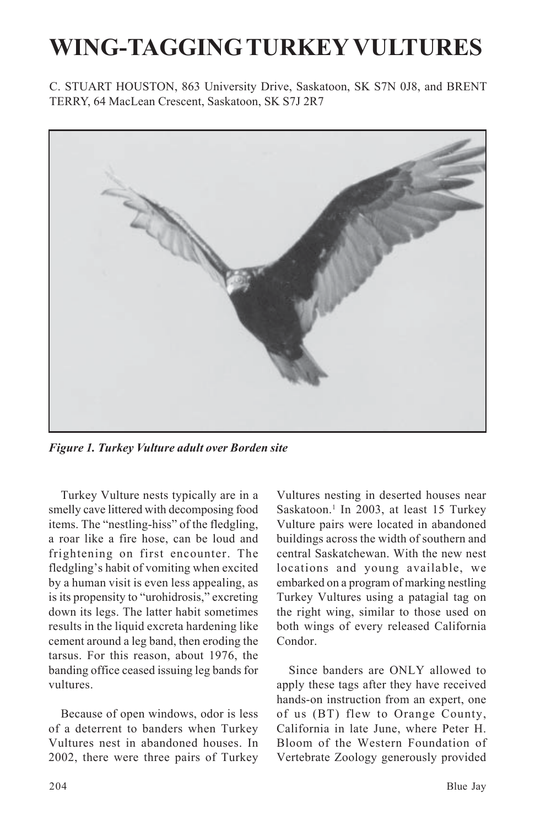## **WING-TAGGING TURKEY VULTURES**

C. STUART HOUSTON, 863 University Drive, Saskatoon, SK S7N 0J8, and BRENT TERRY, 64 MacLean Crescent, Saskatoon, SK S7J 2R7



*Figure 1. Turkey Vulture adult over Borden site*

Turkey Vulture nests typically are in a smelly cave littered with decomposing food items. The "nestling-hiss" of the fledgling, a roar like a fire hose, can be loud and frightening on first encounter. The fledgling's habit of vomiting when excited by a human visit is even less appealing, as is its propensity to "urohidrosis," excreting down its legs. The latter habit sometimes results in the liquid excreta hardening like cement around a leg band, then eroding the tarsus. For this reason, about 1976, the banding office ceased issuing leg bands for vultures.

Because of open windows, odor is less of a deterrent to banders when Turkey Vultures nest in abandoned houses. In 2002, there were three pairs of Turkey Vultures nesting in deserted houses near Saskatoon.<sup>1</sup> In 2003, at least 15 Turkey Vulture pairs were located in abandoned buildings across the width of southern and central Saskatchewan. With the new nest locations and young available, we embarked on a program of marking nestling Turkey Vultures using a patagial tag on the right wing, similar to those used on both wings of every released California Condor.

Since banders are ONLY allowed to apply these tags after they have received hands-on instruction from an expert, one of us (BT) flew to Orange County, California in late June, where Peter H. Bloom of the Western Foundation of Vertebrate Zoology generously provided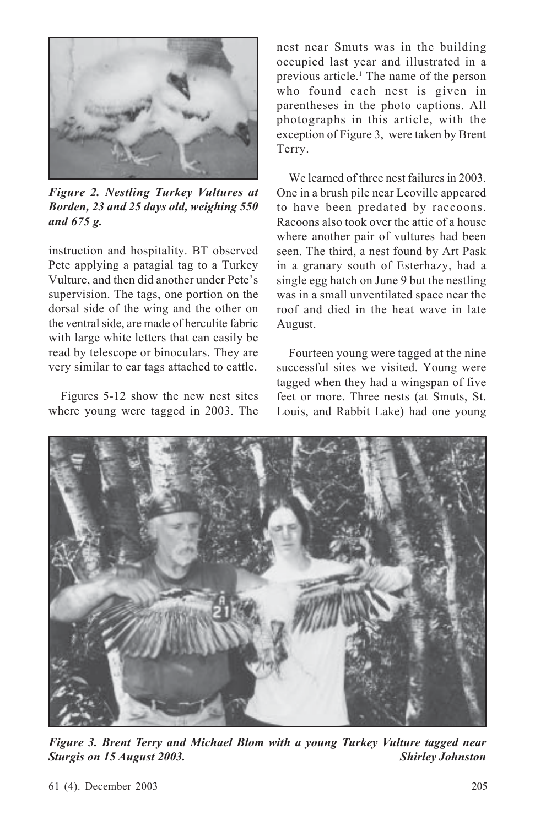

*Figure 2. Nestling Turkey Vultures at Borden, 23 and 25 days old, weighing 550 and 675 g.*

instruction and hospitality. BT observed Pete applying a patagial tag to a Turkey Vulture, and then did another under Pete's supervision. The tags, one portion on the dorsal side of the wing and the other on the ventral side, are made of herculite fabric with large white letters that can easily be read by telescope or binoculars. They are very similar to ear tags attached to cattle.

Figures 5-12 show the new nest sites where young were tagged in 2003. The nest near Smuts was in the building occupied last year and illustrated in a previous article.<sup>1</sup> The name of the person who found each nest is given in parentheses in the photo captions. All photographs in this article, with the exception of Figure 3, were taken by Brent Terry.

We learned of three nest failures in 2003. One in a brush pile near Leoville appeared to have been predated by raccoons. Racoons also took over the attic of a house where another pair of vultures had been seen. The third, a nest found by Art Pask in a granary south of Esterhazy, had a single egg hatch on June 9 but the nestling was in a small unventilated space near the roof and died in the heat wave in late August.

Fourteen young were tagged at the nine successful sites we visited. Young were tagged when they had a wingspan of five feet or more. Three nests (at Smuts, St. Louis, and Rabbit Lake) had one young



*Figure 3. Brent Terry and Michael Blom with a young Turkey Vulture tagged near Sturgis on 15 August 2003. Shirley Johnston*